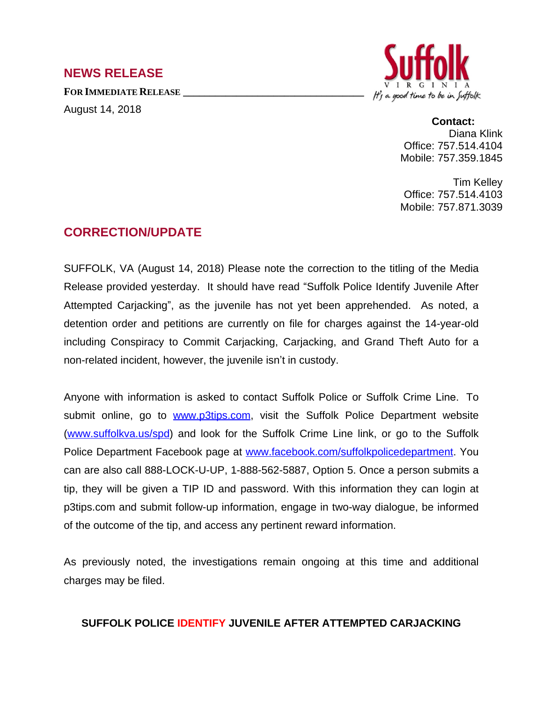## **NEWS RELEASE**

**FOR IMMEDIATE RELEASE \_\_\_\_\_\_\_\_\_\_\_\_\_\_\_\_\_\_\_\_\_\_\_\_\_\_\_\_\_\_\_\_\_\_**

August 14, 2018



**Contact:** Diana Klink Office: 757.514.4104 Mobile: 757.359.1845

Tim Kelley Office: 757.514.4103 Mobile: 757.871.3039

## **CORRECTION/UPDATE**

SUFFOLK, VA (August 14, 2018) Please note the correction to the titling of the Media Release provided yesterday. It should have read "Suffolk Police Identify Juvenile After Attempted Carjacking", as the juvenile has not yet been apprehended. As noted, a detention order and petitions are currently on file for charges against the 14-year-old including Conspiracy to Commit Carjacking, Carjacking, and Grand Theft Auto for a non-related incident, however, the juvenile isn't in custody.

Anyone with information is asked to contact Suffolk Police or Suffolk Crime Line. To submit online, go to [www.p3tips.com,](http://www.p3tips.com) visit the Suffolk Police Department website ([www.suffolkva.us/spd](http://www.suffolkva.us/spd)) and look for the Suffolk Crime Line link, or go to the Suffolk Police Department Facebook page at [www.facebook.com/suffolkpolicedepartment](http://www.facebook.com/suffolkpolicedepartment). You can are also call 888-LOCK-U-UP, 1-888-562-5887, Option 5. Once a person submits a tip, they will be given a TIP ID and password. With this information they can login at p3tips.com and submit follow-up information, engage in two-way dialogue, be informed of the outcome of the tip, and access any pertinent reward information.

As previously noted, the investigations remain ongoing at this time and additional charges may be filed.

## **SUFFOLK POLICE IDENTIFY JUVENILE AFTER ATTEMPTED CARJACKING**